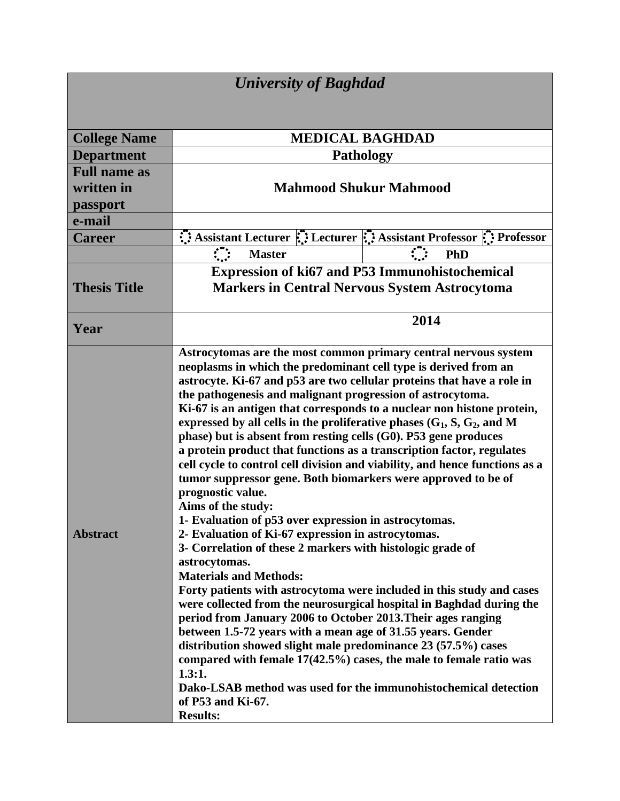| <b>University of Baghdad</b> |                                                                                                                                                                                                                                                                                                                                                                                                                                                                                                                                                                                                                                                                                                                                                                                                                                                                                                                                                                                                                                                                                                                                                                                                                                                                                                                                                                                                                                                                                                                                                       |
|------------------------------|-------------------------------------------------------------------------------------------------------------------------------------------------------------------------------------------------------------------------------------------------------------------------------------------------------------------------------------------------------------------------------------------------------------------------------------------------------------------------------------------------------------------------------------------------------------------------------------------------------------------------------------------------------------------------------------------------------------------------------------------------------------------------------------------------------------------------------------------------------------------------------------------------------------------------------------------------------------------------------------------------------------------------------------------------------------------------------------------------------------------------------------------------------------------------------------------------------------------------------------------------------------------------------------------------------------------------------------------------------------------------------------------------------------------------------------------------------------------------------------------------------------------------------------------------------|
|                              |                                                                                                                                                                                                                                                                                                                                                                                                                                                                                                                                                                                                                                                                                                                                                                                                                                                                                                                                                                                                                                                                                                                                                                                                                                                                                                                                                                                                                                                                                                                                                       |
| <b>College Name</b>          | <b>MEDICAL BAGHDAD</b>                                                                                                                                                                                                                                                                                                                                                                                                                                                                                                                                                                                                                                                                                                                                                                                                                                                                                                                                                                                                                                                                                                                                                                                                                                                                                                                                                                                                                                                                                                                                |
| <b>Department</b>            | <b>Pathology</b>                                                                                                                                                                                                                                                                                                                                                                                                                                                                                                                                                                                                                                                                                                                                                                                                                                                                                                                                                                                                                                                                                                                                                                                                                                                                                                                                                                                                                                                                                                                                      |
| <b>Full name as</b>          |                                                                                                                                                                                                                                                                                                                                                                                                                                                                                                                                                                                                                                                                                                                                                                                                                                                                                                                                                                                                                                                                                                                                                                                                                                                                                                                                                                                                                                                                                                                                                       |
| written in                   | <b>Mahmood Shukur Mahmood</b>                                                                                                                                                                                                                                                                                                                                                                                                                                                                                                                                                                                                                                                                                                                                                                                                                                                                                                                                                                                                                                                                                                                                                                                                                                                                                                                                                                                                                                                                                                                         |
| passport                     |                                                                                                                                                                                                                                                                                                                                                                                                                                                                                                                                                                                                                                                                                                                                                                                                                                                                                                                                                                                                                                                                                                                                                                                                                                                                                                                                                                                                                                                                                                                                                       |
| e-mail                       |                                                                                                                                                                                                                                                                                                                                                                                                                                                                                                                                                                                                                                                                                                                                                                                                                                                                                                                                                                                                                                                                                                                                                                                                                                                                                                                                                                                                                                                                                                                                                       |
| <b>Career</b>                | Assistant Lecturer : Lecturer : Assistant Professor : Professor                                                                                                                                                                                                                                                                                                                                                                                                                                                                                                                                                                                                                                                                                                                                                                                                                                                                                                                                                                                                                                                                                                                                                                                                                                                                                                                                                                                                                                                                                       |
|                              | $\mathcal{L}$<br>$\mathcal{L}$<br><b>Master</b><br>PhD                                                                                                                                                                                                                                                                                                                                                                                                                                                                                                                                                                                                                                                                                                                                                                                                                                                                                                                                                                                                                                                                                                                                                                                                                                                                                                                                                                                                                                                                                                |
|                              | <b>Expression of ki67 and P53 Immunohistochemical</b>                                                                                                                                                                                                                                                                                                                                                                                                                                                                                                                                                                                                                                                                                                                                                                                                                                                                                                                                                                                                                                                                                                                                                                                                                                                                                                                                                                                                                                                                                                 |
| <b>Thesis Title</b>          | <b>Markers in Central Nervous System Astrocytoma</b>                                                                                                                                                                                                                                                                                                                                                                                                                                                                                                                                                                                                                                                                                                                                                                                                                                                                                                                                                                                                                                                                                                                                                                                                                                                                                                                                                                                                                                                                                                  |
| Year                         | 2014                                                                                                                                                                                                                                                                                                                                                                                                                                                                                                                                                                                                                                                                                                                                                                                                                                                                                                                                                                                                                                                                                                                                                                                                                                                                                                                                                                                                                                                                                                                                                  |
| <b>Abstract</b>              | Astrocytomas are the most common primary central nervous system<br>neoplasms in which the predominant cell type is derived from an<br>astrocyte. Ki-67 and p53 are two cellular proteins that have a role in<br>the pathogenesis and malignant progression of astrocytoma.<br>Ki-67 is an antigen that corresponds to a nuclear non histone protein,<br>expressed by all cells in the proliferative phases $(G_1, S, G_2, and M)$<br>phase) but is absent from resting cells (G0). P53 gene produces<br>a protein product that functions as a transcription factor, regulates<br>cell cycle to control cell division and viability, and hence functions as a<br>tumor suppressor gene. Both biomarkers were approved to be of<br>prognostic value.<br>Aims of the study:<br>1- Evaluation of p53 over expression in astrocytomas.<br>2- Evaluation of Ki-67 expression in astrocytomas.<br>3- Correlation of these 2 markers with histologic grade of<br>astrocytomas.<br><b>Materials and Methods:</b><br>Forty patients with astrocytoma were included in this study and cases<br>were collected from the neurosurgical hospital in Baghdad during the<br>period from January 2006 to October 2013. Their ages ranging<br>between 1.5-72 years with a mean age of 31.55 years. Gender<br>distribution showed slight male predominance 23 (57.5%) cases<br>compared with female $17(42.5%)$ cases, the male to female ratio was<br>1.3:1.<br>Dako-LSAB method was used for the immunohistochemical detection<br>of P53 and Ki-67.<br><b>Results:</b> |